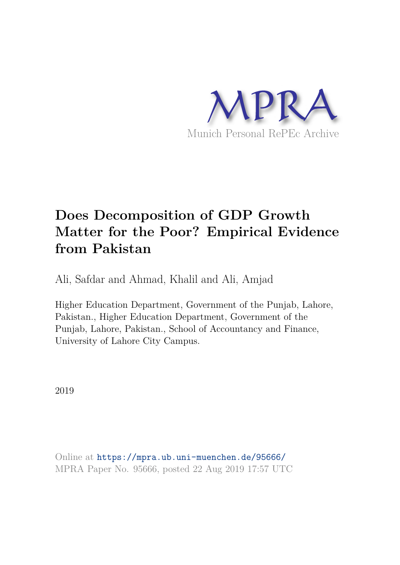

# **Does Decomposition of GDP Growth Matter for the Poor? Empirical Evidence from Pakistan**

Ali, Safdar and Ahmad, Khalil and Ali, Amjad

Higher Education Department, Government of the Punjab, Lahore, Pakistan., Higher Education Department, Government of the Punjab, Lahore, Pakistan., School of Accountancy and Finance, University of Lahore City Campus.

2019

Online at https://mpra.ub.uni-muenchen.de/95666/ MPRA Paper No. 95666, posted 22 Aug 2019 17:57 UTC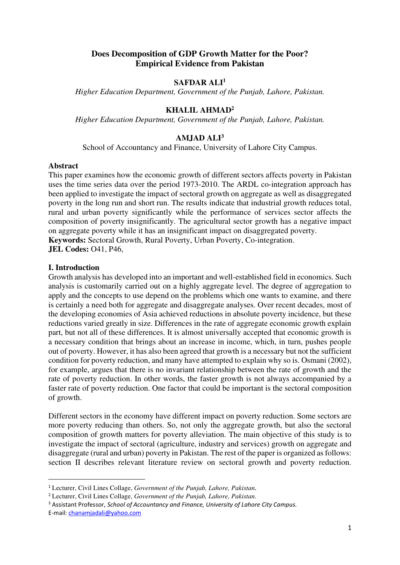# **Does Decomposition of GDP Growth Matter for the Poor? Empirical Evidence from Pakistan**

# **SAFDAR ALI<sup>1</sup>**

*Higher Education Department, Government of the Punjab, Lahore, Pakistan.* 

# **KHALIL AHMAD<sup>2</sup>**

*Higher Education Department, Government of the Punjab, Lahore, Pakistan.* 

# **AMJAD ALI<sup>3</sup>**

School of Accountancy and Finance, University of Lahore City Campus.

#### **Abstract**

This paper examines how the economic growth of different sectors affects poverty in Pakistan uses the time series data over the period 1973-2010. The ARDL co-integration approach has been applied to investigate the impact of sectoral growth on aggregate as well as disaggregated poverty in the long run and short run. The results indicate that industrial growth reduces total, rural and urban poverty significantly while the performance of services sector affects the composition of poverty insignificantly. The agricultural sector growth has a negative impact on aggregate poverty while it has an insignificant impact on disaggregated poverty. **Keywords:** Sectoral Growth, Rural Poverty, Urban Poverty, Co-integration.

**JEL Codes:** O41, P46,

#### **I. Introduction**

Growth analysis has developed into an important and well-established field in economics. Such analysis is customarily carried out on a highly aggregate level. The degree of aggregation to apply and the concepts to use depend on the problems which one wants to examine, and there is certainly a need both for aggregate and disaggregate analyses. Over recent decades, most of the developing economies of Asia achieved reductions in absolute poverty incidence, but these reductions varied greatly in size. Differences in the rate of aggregate economic growth explain part, but not all of these differences. It is almost universally accepted that economic growth is a necessary condition that brings about an increase in income, which, in turn, pushes people out of poverty. However, it has also been agreed that growth is a necessary but not the sufficient condition for poverty reduction, and many have attempted to explain why so is. Osmani (2002), for example, argues that there is no invariant relationship between the rate of growth and the rate of poverty reduction. In other words, the faster growth is not always accompanied by a faster rate of poverty reduction. One factor that could be important is the sectoral composition of growth.

Different sectors in the economy have different impact on poverty reduction. Some sectors are more poverty reducing than others. So, not only the aggregate growth, but also the sectoral composition of growth matters for poverty alleviation. The main objective of this study is to investigate the impact of sectoral (agriculture, industry and services) growth on aggregate and disaggregate (rural and urban) poverty in Pakistan. The rest of the paper is organized as follows: section II describes relevant literature review on sectoral growth and poverty reduction.

<sup>1</sup> Lecturer, Civil Lines Collage, *Government of the Punjab, Lahore, Pakistan.*

<sup>2</sup> Lecturer, Civil Lines Collage, *Government of the Punjab, Lahore, Pakistan.*

<sup>3</sup> Assistant Professor, *School of Accountancy and Finance, University of Lahore City Campus.*  E-mail: [chanamjadali@yahoo.com](mailto:chanamjadali@yahoo.com)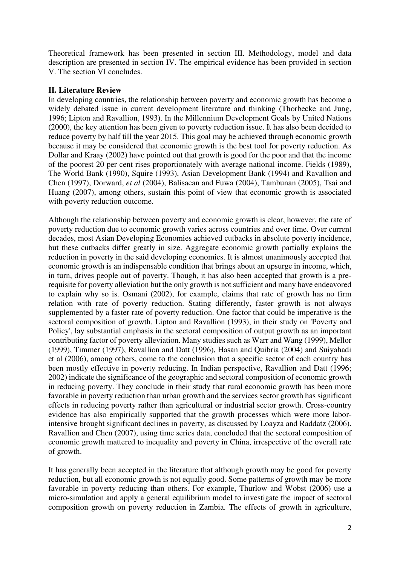Theoretical framework has been presented in section III. Methodology, model and data description are presented in section IV. The empirical evidence has been provided in section V. The section VI concludes.

# **II. Literature Review**

In developing countries, the relationship between poverty and economic growth has become a widely debated issue in current development literature and thinking (Thorbecke and Jung, 1996; Lipton and Ravallion, 1993). In the Millennium Development Goals by United Nations (2000), the key attention has been given to poverty reduction issue. It has also been decided to reduce poverty by half till the year 2015. This goal may be achieved through economic growth because it may be considered that economic growth is the best tool for poverty reduction. As Dollar and Kraay (2002) have pointed out that growth is good for the poor and that the income of the poorest 20 per cent rises proportionately with average national income. Fields (1989), The World Bank (1990), Squire (1993), Asian Development Bank (1994) and Ravallion and Chen (1997), Dorward, *et al* (2004), Balisacan and Fuwa (2004), Tambunan (2005), Tsai and Huang (2007), among others, sustain this point of view that economic growth is associated with poverty reduction outcome.

Although the relationship between poverty and economic growth is clear, however, the rate of poverty reduction due to economic growth varies across countries and over time. Over current decades, most Asian Developing Economies achieved cutbacks in absolute poverty incidence, but these cutbacks differ greatly in size. Aggregate economic growth partially explains the reduction in poverty in the said developing economies. It is almost unanimously accepted that economic growth is an indispensable condition that brings about an upsurge in income, which, in turn, drives people out of poverty. Though, it has also been accepted that growth is a prerequisite for poverty alleviation but the only growth is not sufficient and many have endeavored to explain why so is. Osmani (2002), for example, claims that rate of growth has no firm relation with rate of poverty reduction. Stating differently, faster growth is not always supplemented by a faster rate of poverty reduction. One factor that could be imperative is the sectoral composition of growth. Lipton and Ravallion (1993), in their study on 'Poverty and Policy', lay substantial emphasis in the sectoral composition of output growth as an important contributing factor of poverty alleviation. Many studies such as Warr and Wang (1999), Mellor (1999), Timmer (1997), Ravallion and Datt (1996), Hasan and Quibria (2004) and Suiyahadi et al (2006), among others, come to the conclusion that a specific sector of each country has been mostly effective in poverty reducing. In Indian perspective, Ravallion and Datt (1996; 2002) indicate the significance of the geographic and sectoral composition of economic growth in reducing poverty. They conclude in their study that rural economic growth has been more favorable in poverty reduction than urban growth and the services sector growth has significant effects in reducing poverty rather than agricultural or industrial sector growth. Cross-country evidence has also empirically supported that the growth processes which were more laborintensive brought significant declines in poverty, as discussed by Loayza and Raddatz (2006). Ravallion and Chen (2007), using time series data, concluded that the sectoral composition of economic growth mattered to inequality and poverty in China, irrespective of the overall rate of growth.

It has generally been accepted in the literature that although growth may be good for poverty reduction, but all economic growth is not equally good. Some patterns of growth may be more favorable in poverty reducing than others. For example, Thurlow and Wobst (2006) use a micro-simulation and apply a general equilibrium model to investigate the impact of sectoral composition growth on poverty reduction in Zambia. The effects of growth in agriculture,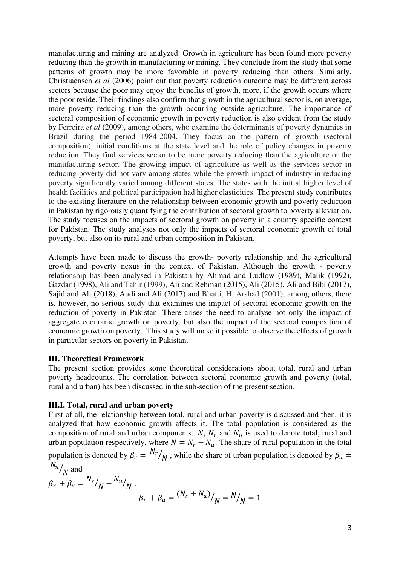manufacturing and mining are analyzed. Growth in agriculture has been found more poverty reducing than the growth in manufacturing or mining. They conclude from the study that some patterns of growth may be more favorable in poverty reducing than others. Similarly, Christiaensen *et al* (2006) point out that poverty reduction outcome may be different across sectors because the poor may enjoy the benefits of growth, more, if the growth occurs where the poor reside. Their findings also confirm that growth in the agricultural sector is, on average, more poverty reducing than the growth occurring outside agriculture. The importance of sectoral composition of economic growth in poverty reduction is also evident from the study by Ferreira *et al* (2009), among others, who examine the determinants of poverty dynamics in Brazil during the period 1984-2004. They focus on the pattern of growth (sectoral composition), initial conditions at the state level and the role of policy changes in poverty reduction. They find services sector to be more poverty reducing than the agriculture or the manufacturing sector. The growing impact of agriculture as well as the services sector in reducing poverty did not vary among states while the growth impact of industry in reducing poverty significantly varied among different states. The states with the initial higher level of health facilities and political participation had higher elasticities. The present study contributes to the existing literature on the relationship between economic growth and poverty reduction in Pakistan by rigorously quantifying the contribution of sectoral growth to poverty alleviation. The study focuses on the impacts of sectoral growth on poverty in a country specific context for Pakistan. The study analyses not only the impacts of sectoral economic growth of total poverty, but also on its rural and urban composition in Pakistan.

Attempts have been made to discuss the growth- poverty relationship and the agricultural growth and poverty nexus in the context of Pakistan. Although the growth - poverty relationship has been analysed in Pakistan by Ahmad and Ludlow (1989), Malik (1992), Gazdar (1998), Ali and Tahir (1999), Ali and Rehman (2015), Ali (2015), Ali and Bibi (2017), Sajid and Ali (2018), Audi and Ali (2017) and Bhatti, H. Arshad (2001), among others, there is, however, no serious study that examines the impact of sectoral economic growth on the reduction of poverty in Pakistan. There arises the need to analyse not only the impact of aggregate economic growth on poverty, but also the impact of the sectoral composition of economic growth on poverty. This study will make it possible to observe the effects of growth in particular sectors on poverty in Pakistan.

# **III. Theoretical Framework**

The present section provides some theoretical considerations about total, rural and urban poverty headcounts. The correlation between sectoral economic growth and poverty (total, rural and urban) has been discussed in the sub-section of the present section.

#### **III.I. Total, rural and urban poverty**

First of all, the relationship between total, rural and urban poverty is discussed and then, it is analyzed that how economic growth affects it. The total population is considered as the composition of rural and urban components. N,  $N_r$  and  $N_u$  is used to denote total, rural and urban population respectively, where  $N = N_r + N_u$ . The share of rural population in the total population is denoted by  $\beta_r = N_r$  $\mathcal{N}_N$ , while the share of urban population is denoted by  $\beta_u =$  $N_u$ 

$$
l_{u}/N
$$
 and  
\n $\beta_r + \beta_u = \frac{N_r}{N} + \frac{N_u}{N}$ .  
\n $\beta_r + \beta_u = \frac{(N_r + N_u)}{N} = \frac{N}{N} = 1$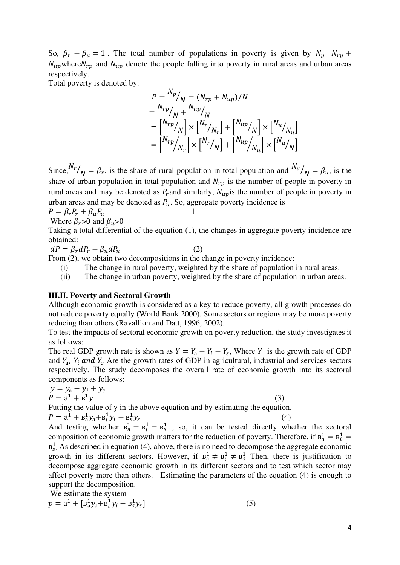So,  $\beta_r + \beta_u = 1$ . The total number of populations in poverty is given by  $N_{p=1}N_{rp}$  +  $N_{up}$  where  $N_{rp}$  and  $N_{up}$  denote the people falling into poverty in rural areas and urban areas respectively.

Total poverty is denoted by:

$$
P = \frac{N_p}{N} = (N_{rp} + N_{up})/N
$$
  
=  $\frac{N_{rp}}{N} / \frac{N_{up}}{N}$   
=  $\left[ \frac{N_{rp}}{N} / \frac{N}{N} \right] \times \left[ \frac{N_{r}}{N_r} \right] + \left[ \frac{N_{up}}{N} \right] \times \left[ \frac{N_{u}}{N_u} \right]$   
=  $\left[ \frac{N_{rp}}{N_r} \right] \times \left[ \frac{N_{r}}{N} \right] + \left[ \frac{N_{up}}{N_u} \right] \times \left[ \frac{N_{u}}{N} \right]$ 

Since,  $N_r / N = \beta_r$ , is the share of rural population in total population and  $N_u / N = \beta_u$ , is the  $N - \rho r$ , is the share of farm population in total population and  $N$ share of urban population in total population and  $N_{rp}$  is the number of people in poverty in rural areas and may be denoted as  $P_r$  and similarly,  $N_{up}$  is the number of people in poverty in urban areas and may be denoted as  $P_u$ . So, aggregate poverty incidence is

$$
P = \beta_r P_r + \beta_u P_u
$$
  
Where  $\beta_r > 0$  and  $\beta_u > 0$ 

$$
f_{\rm{max}}
$$

Taking a total differential of the equation (1), the changes in aggregate poverty incidence are obtained:

 $dP = \beta_r dP_r + \beta_u dP_u$  (2)

From  $(2)$ , we obtain two decompositions in the change in poverty incidence:

- (i) The change in rural poverty, weighted by the share of population in rural areas.
- (ii) The change in urban poverty, weighted by the share of population in urban areas.

#### **III.II. Poverty and Sectoral Growth**

Although economic growth is considered as a key to reduce poverty, all growth processes do not reduce poverty equally (World Bank 2000). Some sectors or regions may be more poverty reducing than others (Ravallion and Datt, 1996, 2002).

To test the impacts of sectoral economic growth on poverty reduction, the study investigates it as follows:

The real GDP growth rate is shown as  $Y = Y_a + Y_i + Y_s$ , Where Y is the growth rate of GDP and  $Y_a$ ,  $Y_i$  and  $Y_s$  Are the growth rates of GDP in agricultural, industrial and services sectors respectively. The study decomposes the overall rate of economic growth into its sectoral components as follows:

$$
y = y_a + y_i + y_s
$$
  
\n
$$
P = a^1 + b^1y
$$
\n(3)

Putting the value of y in the above equation and by estimating the equation,

$$
P = a^{1} + B_{a}^{1} y_{a} + B_{i}^{1} y_{i} + B_{s}^{1} y_{s}
$$
 (4)

And testing whether  $B_a^1 = B_i^1 = B_s^1$ , so, it can be tested directly whether the sectoral composition of economic growth matters for the reduction of poverty. Therefore, if  $B_a^1 = B_i^1 =$  $B_s^1$ . As described in equation (4), above, there is no need to decompose the aggregate economic growth in its different sectors. However, if  $B_a^1 \neq B_i^1 \neq B_s^1$  Then, there is justification to decompose aggregate economic growth in its different sectors and to test which sector may affect poverty more than others. Estimating the parameters of the equation (4) is enough to support the decomposition.

We estimate the system

$$
p = a^{1} + [B_{a}^{1}y_{a} + B_{i}^{1}y_{i} + B_{s}^{1}y_{s}]
$$
\n(5)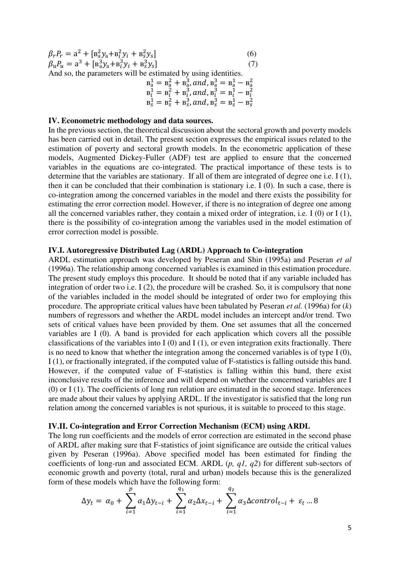| $\beta_r P_r = a^2 + [B_a^2 y_a + B_i^2 y_i + B_s^2 y_s]$ |  | (6) |
|-----------------------------------------------------------|--|-----|
| $\beta_u P_u = a^3 + [B_a^3 y_a + B_i^3 y_i + B_s^3 y_s]$ |  | (7) |
|                                                           |  |     |

And so, the parameters will be estimated by using identities.

$$
B_a^1 = B_a^2 + B_a^3, and B_a^3 = B_a^1 - B_a^2
$$
  
\n
$$
B_i^1 = B_i^2 + B_i^3, and B_i^3 = B_i^1 - B_i^2
$$
  
\n
$$
B_s^1 = B_s^2 + B_s^3, and B_s^3 = B_s^1 - B_s^2
$$

#### **IV. Econometric methodology and data sources.**

In the previous section, the theoretical discussion about the sectoral growth and poverty models has been carried out in detail. The present section expresses the empirical issues related to the estimation of poverty and sectoral growth models. In the econometric application of these models, Augmented Dickey-Fuller (ADF) test are applied to ensure that the concerned variables in the equations are co-integrated. The practical importance of these tests is to determine that the variables are stationary. If all of them are integrated of degree one i.e. I (1), then it can be concluded that their combination is stationary i.e. I (0). In such a case, there is co-integration among the concerned variables in the model and there exists the possibility for estimating the error correction model. However, if there is no integration of degree one among all the concerned variables rather, they contain a mixed order of integration, i.e. I  $(0)$  or I $(1)$ , there is the possibility of co-integration among the variables used in the model estimation of error correction model is possible.

#### **IV.I. Autoregressive Distributed Lag (ARDL) Approach to Co-integration**

ARDL estimation approach was developed by Peseran and Shin (1995a) and Peseran *et al*  (1996a). The relationship among concerned variables is examined in this estimation procedure. The present study employs this procedure. It should be noted that if any variable included has integration of order two i.e. I (2), the procedure will be crashed. So, it is compulsory that none of the variables included in the model should be integrated of order two for employing this procedure. The appropriate critical values have been tabulated by Peseran *et al.* (1996a) for (*k*) numbers of regressors and whether the ARDL model includes an intercept and/or trend. Two sets of critical values have been provided by them. One set assumes that all the concerned variables are I (0). A band is provided for each application which covers all the possible classifications of the variables into  $I(0)$  and  $I(1)$ , or even integration exits fractionally. There is no need to know that whether the integration among the concerned variables is of type I (0), I (1), or fractionally integrated, if the computed value of F-statistics is falling outside this band. However, if the computed value of F-statistics is falling within this band, there exist inconclusive results of the inference and will depend on whether the concerned variables are I (0) or I (1). The coefficients of long run relation are estimated in the second stage. Inferences are made about their values by applying ARDL. If the investigator is satisfied that the long run relation among the concerned variables is not spurious, it is suitable to proceed to this stage.

#### **IV.II. Co-integration and Error Correction Mechanism (ECM) using ARDL**

The long run coefficients and the models of error correction are estimated in the second phase of ARDL after making sure that F-statistics of joint significance are outside the critical values given by Peseran (1996a). Above specified model has been estimated for finding the coefficients of long-run and associated ECM. ARDL (*p, q1, q2*) for different sub-sectors of economic growth and poverty (total, rural and urban) models because this is the generalized form of these models which have the following form:

$$
\Delta y_t = \alpha_0 + \sum_{i=1}^p \alpha_i \Delta y_{t-i} + \sum_{i=1}^{q_1} \alpha_2 \Delta x_{t-i} + \sum_{i=1}^{q_2} \alpha_3 \Delta control_{t-i} + \varepsilon_t \dots 8
$$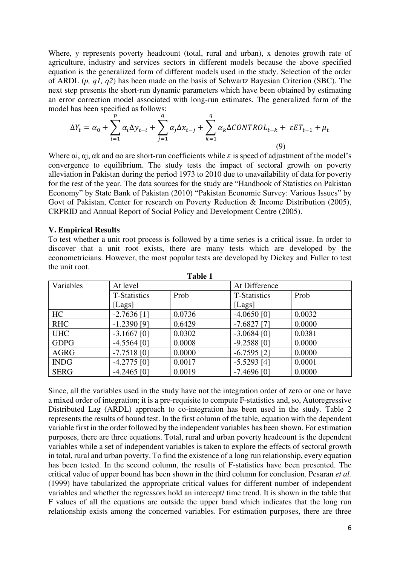Where, y represents poverty headcount (total, rural and urban), x denotes growth rate of agriculture, industry and services sectors in different models because the above specified equation is the generalized form of different models used in the study. Selection of the order of ARDL (*p, q1, q2*) has been made on the basis of Schwartz Bayesian Criterion (SBC). The next step presents the short-run dynamic parameters which have been obtained by estimating an error correction model associated with long-run estimates. The generalized form of the model has been specified as follows:

$$
\Delta Y_t = \alpha_0 + \sum_{i=1}^p \alpha_i \Delta y_{t-i} + \sum_{j=1}^q \alpha_j \Delta x_{t-j} + \sum_{k=1}^q \alpha_k \Delta CONTROL_{t-k} + \varepsilon ET_{t-1} + \mu_t
$$
\n(9)

Where  $\alpha$ ,  $\alpha$ ,  $\alpha$  and  $\alpha$  are short-run coefficients while  $\varepsilon$  is speed of adjustment of the model's convergence to equilibrium. The study tests the impact of sectoral growth on poverty alleviation in Pakistan during the period 1973 to 2010 due to unavailability of data for poverty for the rest of the year. The data sources for the study are "Handbook of Statistics on Pakistan Economy" by State Bank of Pakistan (2010) "Pakistan Economic Survey: Various Issues" by Govt of Pakistan, Center for research on Poverty Reduction & Income Distribution (2005), CRPRID and Annual Report of Social Policy and Development Centre (2005).

# **V. Empirical Results**

To test whether a unit root process is followed by a time series is a critical issue. In order to discover that a unit root exists, there are many tests which are developed by the econometricians. However, the most popular tests are developed by Dickey and Fuller to test the unit root.

**Table 1** 

| таше т      |                     |        |                     |        |
|-------------|---------------------|--------|---------------------|--------|
| Variables   | At level            |        | At Difference       |        |
|             | <b>T-Statistics</b> | Prob   | <b>T-Statistics</b> | Prob   |
|             | [Lags]              |        | [Lags]              |        |
| HC          | $-2.7636$ [1]       | 0.0736 | $-4.0650$ [0]       | 0.0032 |
| <b>RHC</b>  | $-1.2390$ [9]       | 0.6429 | $-7.6827$ [7]       | 0.0000 |
| <b>UHC</b>  | $-3.1667$ [0]       | 0.0302 | $-3.0684$ [0]       | 0.0381 |
| <b>GDPG</b> | $-4.5564$ [0]       | 0.0008 | $-9.2588$ [0]       | 0.0000 |
| <b>AGRG</b> | $-7.7518$ [0]       | 0.0000 | $-6.7595$ [2]       | 0.0000 |
| <b>INDG</b> | $-4.2775$ [0]       | 0.0017 | $-5.5293$ [4]       | 0.0001 |
| <b>SERG</b> | $-4.2465$ [0]       | 0.0019 | $-7.4696$ [0]       | 0.0000 |

Since, all the variables used in the study have not the integration order of zero or one or have a mixed order of integration; it is a pre-requisite to compute F-statistics and, so, Autoregressive Distributed Lag (ARDL) approach to co-integration has been used in the study. Table 2 represents the results of bound test. In the first column of the table, equation with the dependent variable first in the order followed by the independent variables has been shown. For estimation purposes, there are three equations. Total, rural and urban poverty headcount is the dependent variables while a set of independent variables is taken to explore the effects of sectoral growth in total, rural and urban poverty. To find the existence of a long run relationship, every equation has been tested. In the second column, the results of F-statistics have been presented. The critical value of upper bound has been shown in the third column for conclusion. Pesaran *et al.*  (1999) have tabularized the appropriate critical values for different number of independent variables and whether the regressors hold an intercept/ time trend. It is shown in the table that F values of all the equations are outside the upper band which indicates that the long run relationship exists among the concerned variables. For estimation purposes, there are three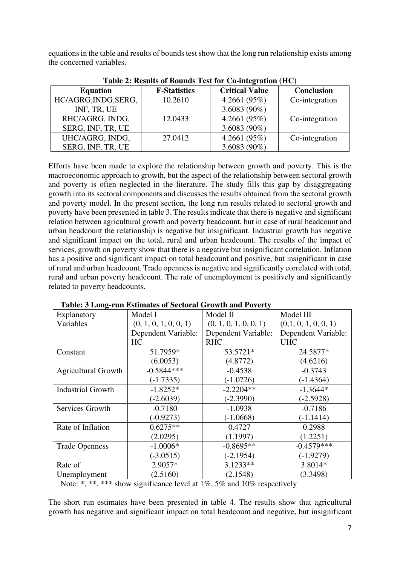equations in the table and results of bounds test show that the long run relationship exists among the concerned variables.

| Table 2: Results of Dounds Test for Co-integration (TIC) |                     |                       |                   |  |
|----------------------------------------------------------|---------------------|-----------------------|-------------------|--|
| <b>Equation</b>                                          | <b>F-Statistics</b> | <b>Critical Value</b> | <b>Conclusion</b> |  |
| HC/AGRG, INDG, SERG,                                     | 10.2610             | 4.2661 $(95\%)$       | Co-integration    |  |
| INF, TR, UE                                              |                     | 3.6083 $(90\%)$       |                   |  |
| RHC/AGRG, INDG,                                          | 12.0433             | 4.2661 $(95\%)$       | Co-integration    |  |
| SERG, INF, TR, UE                                        |                     | 3.6083 $(90\%)$       |                   |  |
| UHC/AGRG, INDG,                                          | 27.0412             | 4.2661 $(95%)$        | Co-integration    |  |
| SERG, INF, TR, UE                                        |                     | 3.6083 $(90\%)$       |                   |  |

**Table 2: Results of Bounds Test for Co-integration (HC)** 

Efforts have been made to explore the relationship between growth and poverty. This is the macroeconomic approach to growth, but the aspect of the relationship between sectoral growth and poverty is often neglected in the literature. The study fills this gap by disaggregating growth into its sectoral components and discusses the results obtained from the sectoral growth and poverty model. In the present section, the long run results related to sectoral growth and poverty have been presented in table 3. The results indicate that there is negative and significant relation between agricultural growth and poverty headcount, but in case of rural headcount and urban headcount the relationship is negative but insignificant. Industrial growth has negative and significant impact on the total, rural and urban headcount. The results of the impact of services, growth on poverty show that there is a negative but insignificant correlation. Inflation has a positive and significant impact on total headcount and positive, but insignificant in case of rural and urban headcount. Trade openness is negative and significantly correlated with total, rural and urban poverty headcount. The rate of unemployment is positively and significantly related to poverty headcounts.

| Explanatory                | Model I               | Model II              | Model III            |
|----------------------------|-----------------------|-----------------------|----------------------|
| Variables                  | (0, 1, 0, 1, 0, 0, 1) | (0, 1, 0, 1, 0, 0, 1) | (0,1, 0, 1, 0, 0, 1) |
|                            | Dependent Variable:   | Dependent Variable:   | Dependent Variable:  |
|                            | <b>HC</b>             | <b>RHC</b>            | <b>UHC</b>           |
| Constant                   | 51.7959*              | 53.5721*              | 24.5877*             |
|                            | (6.0053)              | (4.8772)              | (4.6216)             |
| <b>Agricultural Growth</b> | $-0.5844***$          | $-0.4538$             | $-0.3743$            |
|                            | $(-1.7335)$           | $(-1.0726)$           | $(-1.4364)$          |
| <b>Industrial Growth</b>   | $-1.8252*$            | $-2.2204**$           | $-1.3644*$           |
|                            | $(-2.6039)$           | $(-2.3990)$           | $(-2.5928)$          |
| Services Growth            | $-0.7180$             | $-1.0938$             | $-0.7186$            |
|                            | $(-0.9273)$           | $(-1.0668)$           | $(-1.1414)$          |
| Rate of Inflation          | $0.6275**$            | 0.4727                | 0.2988               |
|                            | (2.0295)              | (1.1997)              | (1.2251)             |
| <b>Trade Openness</b>      | $-1.0006*$            | $-0.8695**$           | $-0.4579***$         |
|                            | $(-3.0515)$           | $(-2.1954)$           | $(-1.9279)$          |
| Rate of                    | 2.9057*               | $3.1233**$            | 3.8014*              |
| Unemployment               | (2.5160)              | (2.1548)              | (3.3498)             |

| <b>Table: 3 Long-run Estimates of Sectoral Growth and Poverty</b> |
|-------------------------------------------------------------------|
|-------------------------------------------------------------------|

Note: \*, \*\*, \*\*\* show significance level at 1%, 5% and 10% respectively

The short run estimates have been presented in table 4. The results show that agricultural growth has negative and significant impact on total headcount and negative, but insignificant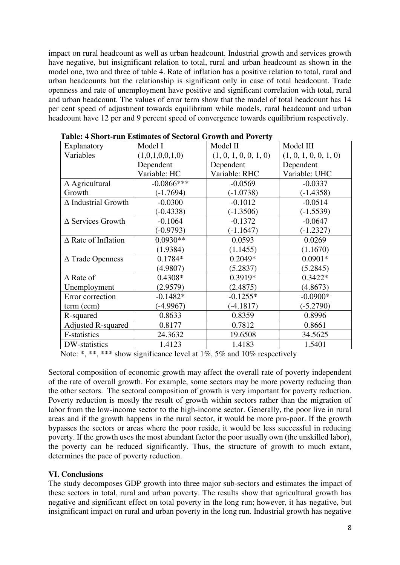impact on rural headcount as well as urban headcount. Industrial growth and services growth have negative, but insignificant relation to total, rural and urban headcount as shown in the model one, two and three of table 4. Rate of inflation has a positive relation to total, rural and urban headcounts but the relationship is significant only in case of total headcount. Trade openness and rate of unemployment have positive and significant correlation with total, rural and urban headcount. The values of error term show that the model of total headcount has 14 per cent speed of adjustment towards equilibrium while models, rural headcount and urban headcount have 12 per and 9 percent speed of convergence towards equilibrium respectively.

| Tonor Cran Estimates of Sectoral Growth and Foverty |                       |                       |  |  |
|-----------------------------------------------------|-----------------------|-----------------------|--|--|
| Model I                                             | Model II              | Model III             |  |  |
| (1,0,1,0,0,1,0)                                     | (1, 0, 1, 0, 0, 1, 0) | (1, 0, 1, 0, 0, 1, 0) |  |  |
| Dependent                                           | Dependent             | Dependent             |  |  |
| Variable: HC                                        | Variable: RHC         | Variable: UHC         |  |  |
| $-0.0866$ ***                                       | $-0.0569$             | $-0.0337$             |  |  |
| $(-1.7694)$                                         | $(-1.0738)$           | $(-1.4358)$           |  |  |
| $-0.0300$                                           | $-0.1012$             | $-0.0514$             |  |  |
| $(-0.4338)$                                         | $(-1.3506)$           | $(-1.5539)$           |  |  |
| $-0.1064$                                           | $-0.1372$             | $-0.0647$             |  |  |
| $(-0.9793)$                                         | $(-1.1647)$           | $(-1.2327)$           |  |  |
| $0.0930**$                                          | 0.0593                | 0.0269                |  |  |
| (1.9384)                                            | (1.1455)              | (1.1670)              |  |  |
| $0.1784*$                                           | $0.2049*$             | $0.0901*$             |  |  |
| (4.9807)                                            | (5.2837)              | (5.2845)              |  |  |
| $0.4308*$                                           | 0.3919*               | $0.3422*$             |  |  |
| (2.9579)                                            | (2.4875)              | (4.8673)              |  |  |
| $-0.1482*$                                          | $-0.1255*$            | $-0.0900*$            |  |  |
| $(-4.9967)$                                         | $(-4.1817)$           | $(-5.2790)$           |  |  |
| 0.8633                                              | 0.8359                | 0.8996                |  |  |
| 0.8177                                              | 0.7812                | 0.8661                |  |  |
| 24.3632                                             | 19.6508               | 34.5625               |  |  |
| 1.4123                                              | 1.4183                | 1.5401                |  |  |
|                                                     |                       |                       |  |  |

**Table: 4 Short-run Estimates of Sectoral Growth and Poverty** 

Note: \*, \*\*, \*\*\* show significance level at 1%, 5% and 10% respectively

Sectoral composition of economic growth may affect the overall rate of poverty independent of the rate of overall growth. For example, some sectors may be more poverty reducing than the other sectors. The sectoral composition of growth is very important for poverty reduction. Poverty reduction is mostly the result of growth within sectors rather than the migration of labor from the low-income sector to the high-income sector. Generally, the poor live in rural areas and if the growth happens in the rural sector, it would be more pro-poor. If the growth bypasses the sectors or areas where the poor reside, it would be less successful in reducing poverty. If the growth uses the most abundant factor the poor usually own (the unskilled labor), the poverty can be reduced significantly. Thus, the structure of growth to much extant, determines the pace of poverty reduction.

# **VI. Conclusions**

The study decomposes GDP growth into three major sub-sectors and estimates the impact of these sectors in total, rural and urban poverty. The results show that agricultural growth has negative and significant effect on total poverty in the long run; however, it has negative, but insignificant impact on rural and urban poverty in the long run. Industrial growth has negative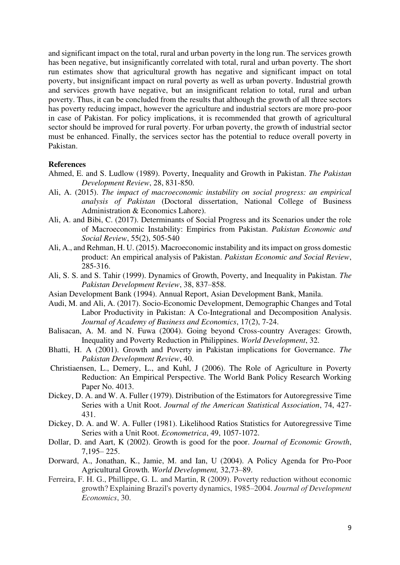and significant impact on the total, rural and urban poverty in the long run. The services growth has been negative, but insignificantly correlated with total, rural and urban poverty. The short run estimates show that agricultural growth has negative and significant impact on total poverty, but insignificant impact on rural poverty as well as urban poverty. Industrial growth and services growth have negative, but an insignificant relation to total, rural and urban poverty. Thus, it can be concluded from the results that although the growth of all three sectors has poverty reducing impact, however the agriculture and industrial sectors are more pro-poor in case of Pakistan. For policy implications, it is recommended that growth of agricultural sector should be improved for rural poverty. For urban poverty, the growth of industrial sector must be enhanced. Finally, the services sector has the potential to reduce overall poverty in Pakistan.

#### **References**

- Ahmed, E. and S. Ludlow (1989). Poverty, Inequality and Growth in Pakistan. *The Pakistan Development Review*, 28, 831-850.
- Ali, A. (2015). *The impact of macroeconomic instability on social progress: an empirical analysis of Pakistan* (Doctoral dissertation, National College of Business Administration & Economics Lahore).
- Ali, A. and Bibi, C. (2017). Determinants of Social Progress and its Scenarios under the role of Macroeconomic Instability: Empirics from Pakistan. *Pakistan Economic and Social Review*, 55(2), 505-540
- Ali, A., and Rehman, H. U. (2015). Macroeconomic instability and its impact on gross domestic product: An empirical analysis of Pakistan. *Pakistan Economic and Social Review*, 285-316.
- Ali, S. S. and S. Tahir (1999). Dynamics of Growth, Poverty, and Inequality in Pakistan. *The Pakistan Development Review*, 38, 837–858.
- Asian Development Bank (1994). Annual Report, Asian Development Bank, Manila.
- Audi, M. and Ali, A. (2017). Socio-Economic Development, Demographic Changes and Total Labor Productivity in Pakistan: A Co-Integrational and Decomposition Analysis. *Journal of Academy of Business and Economics*, 17(2), 7-24.
- Balisacan, A. M. and N. Fuwa (2004). Going beyond Cross-country Averages: Growth, Inequality and Poverty Reduction in Philippines. *World Development*, 32.
- Bhatti, H. A (2001). Growth and Poverty in Pakistan implications for Governance. *The Pakistan Development Review*, 40.
- Christiaensen, L., Demery, L., and Kuhl, J (2006). The Role of Agriculture in Poverty Reduction: An Empirical Perspective. The World Bank Policy Research Working Paper No. 4013.
- Dickey, D. A. and W. A. Fuller (1979). Distribution of the Estimators for Autoregressive Time Series with a Unit Root. *Journal of the American Statistical Association*, 74, 427- 431.
- Dickey, D. A. and W. A. Fuller (1981). Likelihood Ratios Statistics for Autoregressive Time Series with a Unit Root. *Econometrica*, 49, 1057-1072.
- Dollar, D. and Aart, K (2002). Growth is good for the poor. *Journal of Economic Growth*, 7,195– 225.
- Dorward, A., Jonathan, K., Jamie, M. and Ian, U (2004). A Policy Agenda for Pro-Poor Agricultural Growth. *World Development,* 32,73–89.
- Ferreira, F. H. G., Phillippe, G. L. and Martin, R (2009). Poverty reduction without economic growth? Explaining Brazil's poverty dynamics, 1985–2004. *Journal of Development Economics*, 30.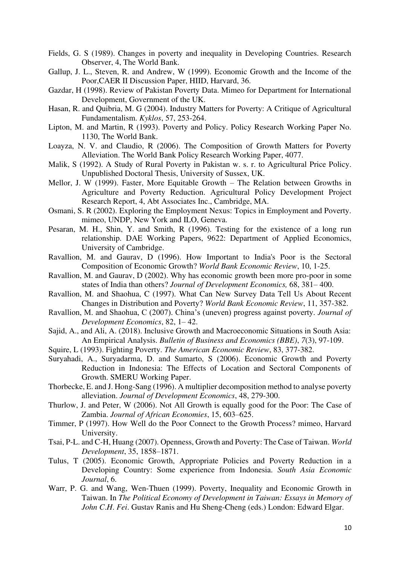- Fields, G. S (1989). Changes in poverty and inequality in Developing Countries. Research Observer, 4, The World Bank.
- Gallup, J. L., Steven, R. and Andrew, W (1999). Economic Growth and the Income of the Poor,CAER II Discussion Paper, HIID, Harvard, 36.
- Gazdar, H (1998). Review of Pakistan Poverty Data. Mimeo for Department for International Development, Government of the UK.
- Hasan, R. and Quibria, M. G (2004). Industry Matters for Poverty: A Critique of Agricultural Fundamentalism. *Kyklos*, 57, 253-264.
- Lipton, M. and Martin, R (1993). Poverty and Policy. Policy Research Working Paper No. 1130, The World Bank.
- Loayza, N. V. and Claudio, R (2006). The Composition of Growth Matters for Poverty Alleviation. The World Bank Policy Research Working Paper, 4077.
- Malik, S (1992). A Study of Rural Poverty in Pakistan w. s. r. to Agricultural Price Policy. Unpublished Doctoral Thesis, University of Sussex, UK.
- Mellor, J. W (1999). Faster, More Equitable Growth The Relation between Growths in Agriculture and Poverty Reduction. Agricultural Policy Development Project Research Report, 4, Abt Associates Inc., Cambridge, MA.
- Osmani, S. R (2002). Exploring the Employment Nexus: Topics in Employment and Poverty. mimeo, UNDP, New York and ILO, Geneva.
- Pesaran, M. H., Shin, Y. and Smith, R (1996). Testing for the existence of a long run relationship. DAE Working Papers, 9622: Department of Applied Economics, University of Cambridge.
- Ravallion, M. and Gaurav, D (1996). How Important to India's Poor is the Sectoral Composition of Economic Growth? *World Bank Economic Review*, 10, 1-25.
- Ravallion, M. and Gaurav, D (2002). Why has economic growth been more pro-poor in some states of India than others? *Journal of Development Economics,* 68, 381– 400.
- Ravallion, M. and Shaohua, C (1997). What Can New Survey Data Tell Us About Recent Changes in Distribution and Poverty? *World Bank Economic Review*, 11, 357-382.
- Ravallion, M. and Shaohua, C (2007). China's (uneven) progress against poverty. *Journal of Development Economics*, 82, 1– 42.
- Sajid, A., and Ali, A. (2018). Inclusive Growth and Macroeconomic Situations in South Asia: An Empirical Analysis. *Bulletin of Business and Economics (BBE)*, *7*(3), 97-109.
- Squire, L (1993). Fighting Poverty. *The American Economic Review*, 83, 377-382.
- Suryahadi, A., Suryadarma, D. and Sumarto, S (2006). Economic Growth and Poverty Reduction in Indonesia: The Effects of Location and Sectoral Components of Growth. SMERU Working Paper.
- Thorbecke, E. and J. Hong-Sang (1996). A multiplier decomposition method to analyse poverty alleviation. *Journal of Development Economics*, 48, 279-300.
- Thurlow, J. and Peter, W (2006). Not All Growth is equally good for the Poor: The Case of Zambia. *Journal of African Economies*, 15, 603–625.
- Timmer, P (1997). How Well do the Poor Connect to the Growth Process? mimeo, Harvard University.
- Tsai, P-L. and C-H, Huang (2007). Openness, Growth and Poverty: The Case of Taiwan. *World Development*, 35, 1858–1871.
- Tulus, T (2005). Economic Growth, Appropriate Policies and Poverty Reduction in a Developing Country: Some experience from Indonesia. *South Asia Economic Journal*, 6.
- Warr, P. G. and Wang, Wen-Thuen (1999). Poverty, Inequality and Economic Growth in Taiwan. In *The Political Economy of Development in Taiwan: Essays in Memory of John C*.*H*. *Fei*. Gustav Ranis and Hu Sheng-Cheng (eds.) London: Edward Elgar.